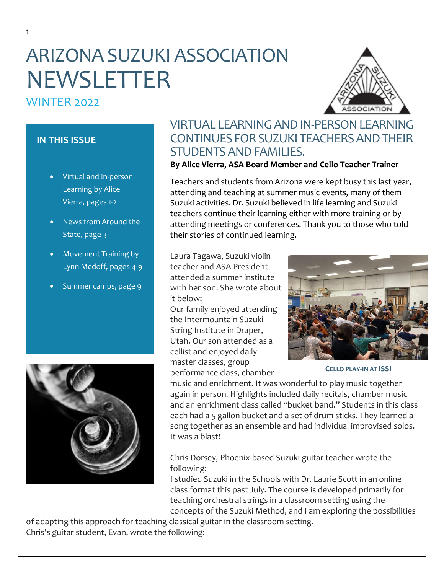# ARIZONA SUZUKI ASSOCIATION NEWSLETTER

# WINTER 2022

1



### **IN THIS ISSUE**

- Virtual and In-person Learning by Alice Vierra, pages 1-2
- News from Around the State, page 3
- Movement Training by Lynn Medoff, pages 4-9
- Summer camps, page 9



# VIRTUAL LEARNING AND IN-PERSON LEARNING CONTINUES FOR SUZUKI TEACHERS AND THEIR STUDENTS AND FAMILIES.

### **By Alice Vierra, ASA Board Member and Cello Teacher Trainer**

Teachers and students from Arizona were kept busy this last year, attending and teaching at summer music events, many of them Suzuki activities. Dr. Suzuki believed in life learning and Suzuki teachers continue their learning either with more training or by attending meetings or conferences. Thank you to those who told their stories of continued learning.

Laura Tagawa, Suzuki violin teacher and ASA President attended a summer institute with her son. She wrote about it below:

Our family enjoyed attending the Intermountain Suzuki String Institute in Draper, Utah. Our son attended as a cellist and enjoyed daily master classes, group performance class, chamber



**CELLO PLAY-IN AT ISSI**

music and enrichment. It was wonderful to play music together again in person. Highlights included daily recitals, chamber music and an enrichment class called "bucket band." Students in this class each had a 5 gallon bucket and a set of drum sticks. They learned a song together as an ensemble and had individual improvised solos. It was a blast!

Chris Dorsey, Phoenix-based Suzuki guitar teacher wrote the following:

I studied Suzuki in the Schools with Dr. Laurie Scott in an online class format this past July. The course is developed primarily for teaching orchestral strings in a classroom setting using the concepts of the Suzuki Method, and I am exploring the possibilities

of adapting this approach for teaching classical guitar in the classroom setting. Chris's guitar student, Evan, wrote the following: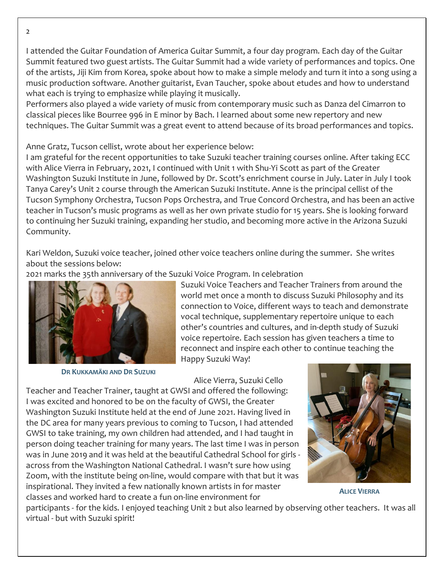I attended the Guitar Foundation of America Guitar Summit, a four day program. Each day of the Guitar Summit featured two guest artists. The Guitar Summit had a wide variety of performances and topics. One of the artists, Jiji Kim from Korea, spoke about how to make a simple melody and turn it into a song using a music production software. Another guitarist, Evan Taucher, spoke about etudes and how to understand what each is trying to emphasize while playing it musically.

Performers also played a wide variety of music from contemporary music such as Danza del Cimarron to classical pieces like Bourree 996 in E minor by Bach. I learned about some new repertory and new techniques. The Guitar Summit was a great event to attend because of its broad performances and topics.

### Anne Gratz, Tucson cellist, wrote about her experience below:

I am grateful for the recent opportunities to take Suzuki teacher training courses online. After taking ECC with Alice Vierra in February, 2021, I continued with Unit 1 with Shu-Yi Scott as part of the Greater Washington Suzuki Institute in June, followed by Dr. Scott's enrichment course in July. Later in July I took Tanya Carey's Unit 2 course through the American Suzuki Institute. Anne is the principal cellist of the Tucson Symphony Orchestra, Tucson Pops Orchestra, and True Concord Orchestra, and has been an active teacher in Tucson's music programs as well as her own private studio for 15 years. She is looking forward to continuing her Suzuki training, expanding her studio, and becoming more active in the Arizona Suzuki Community.

Kari Weldon, Suzuki voice teacher, joined other voice teachers online during the summer. She writes about the sessions below:

2021 marks the 35th anniversary of the Suzuki Voice Program. In celebration



**DR KUKKAMÄKI AND DR SUZUKI**

Suzuki Voice Teachers and Teacher Trainers from around the world met once a month to discuss Suzuki Philosophy and its connection to Voice, different ways to teach and demonstrate vocal technique, supplementary repertoire unique to each other's countries and cultures, and in-depth study of Suzuki voice repertoire. Each session has given teachers a time to reconnect and inspire each other to continue teaching the Happy Suzuki Way!

Alice Vierra, Suzuki Cello

Teacher and Teacher Trainer, taught at GWSI and offered the following: I was excited and honored to be on the faculty of GWSI, the Greater Washington Suzuki Institute held at the end of June 2021. Having lived in the DC area for many years previous to coming to Tucson, I had attended GWSI to take training, my own children had attended, and I had taught in person doing teacher training for many years. The last time I was in person was in June 2019 and it was held at the beautiful Cathedral School for girls across from the Washington National Cathedral. I wasn't sure how using Zoom, with the institute being on-line, would compare with that but it was inspirational. They invited a few nationally known artists in for master classes and worked hard to create a fun on-line environment for



**ALICE VIERRA**

participants - for the kids. I enjoyed teaching Unit 2 but also learned by observing other teachers. It was all virtual - but with Suzuki spirit!

 $\mathcal{L}$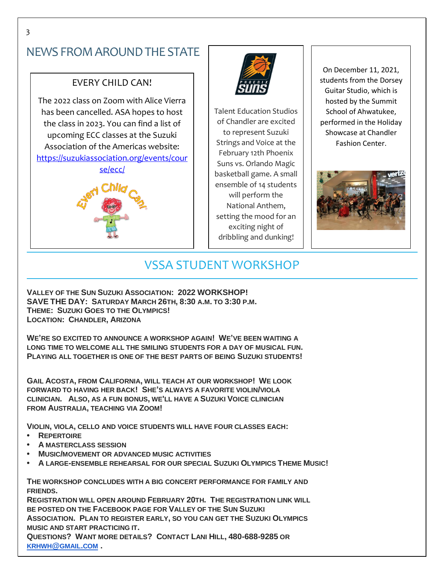# NEWS FROM AROUND THE STATE

### EVERY CHILD CAN!

The 2022 class on Zoom with Alice Vierra has been cancelled. ASA hopes to host the class in 2023. You can find a list of upcoming ECC classes at the Suzuki Association of the Americas website: [https://suzukiassociation.org/events/cour](https://suzukiassociation.org/events/course/ecc/) [se/ecc/](https://suzukiassociation.org/events/course/ecc/)





Talent Education Studios of Chandler are excited to represent Suzuki Strings and Voice at the February 12th Phoenix Suns vs. Orlando Magic basketball game. A small ensemble of 14 students will perform the National Anthem, setting the mood for an exciting night of dribbling and dunking!

On December 11, 2021, students from the Dorsey Guitar Studio, which is hosted by the Summit School of Ahwatukee, performed in the Holiday Showcase at Chandler Fashion Center.



# VSSA STUDENT WORKSHOP

**VALLEY OF THE SUN SUZUKI ASSOCIATION: 2022 WORKSHOP! SAVE THE DAY: SATURDAY MARCH 26TH, 8:30 A.M. TO 3:30 P.M. THEME: SUZUKI GOES TO THE OLYMPICS! LOCATION: CHANDLER, ARIZONA**

**WE'RE SO EXCITED TO ANNOUNCE A WORKSHOP AGAIN! WE'VE BEEN WAITING A LONG TIME TO WELCOME ALL THE SMILING STUDENTS FOR A DAY OF MUSICAL FUN. PLAYING ALL TOGETHER IS ONE OF THE BEST PARTS OF BEING SUZUKI STUDENTS!**

**GAIL ACOSTA, FROM CALIFORNIA, WILL TEACH AT OUR WORKSHOP! WE LOOK FORWARD TO HAVING HER BACK! SHE'S ALWAYS A FAVORITE VIOLIN/VIOLA CLINICIAN. ALSO, AS A FUN BONUS, WE'LL HAVE A SUZUKI VOICE CLINICIAN FROM AUSTRALIA, TEACHING VIA ZOOM!**

**VIOLIN, VIOLA, CELLO AND VOICE STUDENTS WILL HAVE FOUR CLASSES EACH:**

- **• REPERTOIRE**
- **• A MASTERCLASS SESSION**
- **• MUSIC/MOVEMENT OR ADVANCED MUSIC ACTIVITIES**
- **• A LARGE-ENSEMBLE REHEARSAL FOR OUR SPECIAL SUZUKI OLYMPICS THEME MUSIC!**

**THE WORKSHOP CONCLUDES WITH A BIG CONCERT PERFORMANCE FOR FAMILY AND FRIENDS.**

**REGISTRATION WILL OPEN AROUND FEBRUARY 20TH. THE REGISTRATION LINK WILL BE POSTED ON THE FACEBOOK PAGE FOR VALLEY OF THE SUN SUZUKI ASSOCIATION. PLAN TO REGISTER EARLY, SO YOU CAN GET THE SUZUKI OLYMPICS MUSIC AND START PRACTICING IT. QUESTIONS? WANT MORE DETAILS? CONTACT LANI HILL, 480-688-9285 OR [KRHWH](mailto:krhwh@gmail.com)@GMAIL.COM .**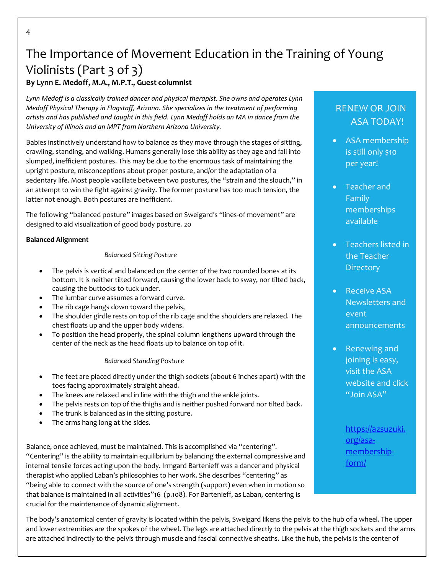# The Importance of Movement Education in the Training of Young Violinists (Part 3 of 3)

### **By Lynn E. Medoff, M.A., M.P.T., Guest columnist**

*Lynn Medoff is a classically trained dancer and physical therapist. She owns and operates Lynn Medoff Physical Therapy in Flagstaff, Arizona. She specializes in the treatment of performing artists and has published and taught in this field. Lynn Medoff holds an MA in dance from the University of Illinois and an MPT from Northern Arizona University.*

Babies instinctively understand how to balance as they move through the stages of sitting, crawling, standing, and walking. Humans generally lose this ability as they age and fall into slumped, inefficient postures. This may be due to the enormous task of maintaining the upright posture, misconceptions about proper posture, and/or the adaptation of a sedentary life. Most people vacillate between two postures, the "strain and the slouch," in an attempt to win the fight against gravity. The former posture has too much tension, the latter not enough. Both postures are inefficient.

The following "balanced posture" images based on Sweigard's "lines-of movement" are designed to aid visualization of good body posture. 20

#### **Balanced Alignment**

#### *Balanced Sitting Posture*

- The pelvis is vertical and balanced on the center of the two rounded bones at its bottom. It is neither tilted forward, causing the lower back to sway, nor tilted back, causing the buttocks to tuck under.
- The lumbar curve assumes a forward curve.
- The rib cage hangs down toward the pelvis,
- The shoulder girdle rests on top of the rib cage and the shoulders are relaxed. The chest floats up and the upper body widens.
- To position the head properly, the spinal column lengthens upward through the center of the neck as the head floats up to balance on top of it.

#### *Balanced Standing Posture*

- The feet are placed directly under the thigh sockets (about 6 inches apart) with the toes facing approximately straight ahead.
- The knees are relaxed and in line with the thigh and the ankle joints.
- The pelvis rests on top of the thighs and is neither pushed forward nor tilted back.
- The trunk is balanced as in the sitting posture.
- The arms hang long at the sides.

Balance, once achieved, must be maintained. This is accomplished via "centering". "Centering" is the ability to maintain equilibrium by balancing the external compressive and internal tensile forces acting upon the body. Irmgard Bartenieff was a dancer and physical therapist who applied Laban's philosophies to her work. She describes "centering" as "being able to connect with the source of one's strength (support) even when in motion so that balance is maintained in all activities"16 (p.108). For Bartenieff, as Laban, centering is crucial for the maintenance of dynamic alignment.

## RENEW OR JOIN ASA TODAY!

- ASA membership is still only \$10 per year!
- Teacher and Family memberships available
- Teachers listed in the Teacher **Directory**
- Receive ASA Newsletters and event announcements
- Renewing and joining is easy, visit the ASA website and click "Join ASA"

[https://azsuzuki.](https://azsuzuki.org/asa-membership-form/) [org/asa](https://azsuzuki.org/asa-membership-form/)[membership](https://azsuzuki.org/asa-membership-form/)[form/](https://azsuzuki.org/asa-membership-form/)

The body's anatomical center of gravity is located within the pelvis, Sweigard likens the pelvis to the hub of a wheel. The upper and lower extremities are the spokes of the wheel. The legs are attached directly to the pelvis at the thigh sockets and the arms are attached indirectly to the pelvis through muscle and fascial connective sheaths. Like the hub, the pelvis is the center of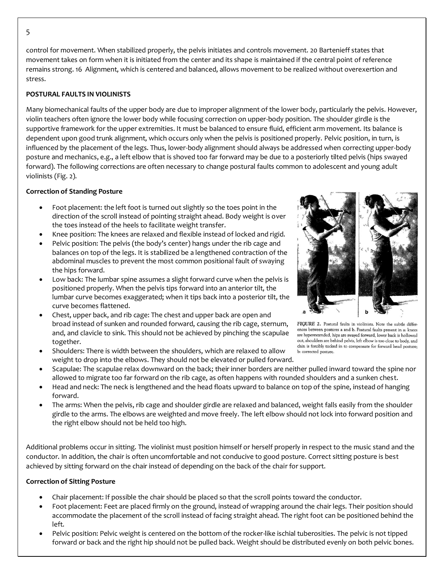control for movement. When stabilized properly, the pelvis initiates and controls movement. 20 Bartenieff states that movement takes on form when it is initiated from the center and its shape is maintained if the central point of reference remains strong. 16 Alignment, which is centered and balanced, allows movement to be realized without overexertion and stress.

#### **POSTURAL FAULTS IN VIOLINISTS**

Many biomechanical faults of the upper body are due to improper alignment of the lower body, particularly the pelvis. However, violin teachers often ignore the lower body while focusing correction on upper-body position. The shoulder girdle is the supportive framework for the upper extremities. It must be balanced to ensure fluid, efficient arm movement. Its balance is dependent upon good trunk alignment, which occurs only when the pelvis is positioned properly. Pelvic position, in turn, is influenced by the placement of the legs. Thus, lower-body alignment should always be addressed when correcting upper-body posture and mechanics, e.g., a left elbow that is shoved too far forward may be due to a posteriorly tilted pelvis (hips swayed forward). The following corrections are often necessary to change postural faults common to adolescent and young adult violinists (Fig. 2).

#### **Correction of Standing Posture**

- Foot placement: the left foot is turned out slightly so the toes point in the direction of the scroll instead of pointing straight ahead. Body weight is over the toes instead of the heels to facilitate weight transfer.
- Knee position: The knees are relaxed and flexible instead of locked and rigid.
- Pelvic position: The pelvis (the body's center) hangs under the rib cage and balances on top of the legs. It is stabilized be a lengthened contraction of the abdominal muscles to prevent the most common positional fault of swaying the hips forward.
- Low back: The lumbar spine assumes a slight forward curve when the pelvis is positioned properly. When the pelvis tips forward into an anterior tilt, the lumbar curve becomes exaggerated; when it tips back into a posterior tilt, the curve becomes flattened.
- Chest, upper back, and rib cage: The chest and upper back are open and broad instead of sunken and rounded forward, causing the rib cage, sternum, and, and clavicle to sink. This should not be achieved by pinching the scapulae together.
- Shoulders: There is width between the shoulders, which are relaxed to allow weight to drop into the elbows. They should not be elevated or pulled forward.



FIGURE 2. Postural faults in violinists. Note the subtle differences between postures a and b. Postural faults present in a: knees are hyperextended, hips are swayed forward, lower back is hollowed out, shoulders are behind pelvis, left elbow is too close to body, and chin is forcibly tucked in to compensate for forward head posture; b: corrected posture.

- Scapulae: The scapulae relax downward on the back; their inner borders are neither pulled inward toward the spine nor allowed to migrate too far forward on the rib cage, as often happens with rounded shoulders and a sunken chest.
- Head and neck: The neck is lengthened and the head floats upward to balance on top of the spine, instead of hanging forward.
- The arms: When the pelvis, rib cage and shoulder girdle are relaxed and balanced, weight falls easily from the shoulder girdle to the arms. The elbows are weighted and move freely. The left elbow should not lock into forward position and the right elbow should not be held too high.

Additional problems occur in sitting. The violinist must position himself or herself properly in respect to the music stand and the conductor. In addition, the chair is often uncomfortable and not conducive to good posture. Correct sitting posture is best achieved by sitting forward on the chair instead of depending on the back of the chair for support.

#### **Correction of Sitting Posture**

- Chair placement: If possible the chair should be placed so that the scroll points toward the conductor.
- Foot placement: Feet are placed firmly on the ground, instead of wrapping around the chair legs. Their position should accommodate the placement of the scroll instead of facing straight ahead. The right foot can be positioned behind the left.
- Pelvic position: Pelvic weight is centered on the bottom of the rocker-like ischial tuberosities. The pelvic is not tipped forward or back and the right hip should not be pulled back. Weight should be distributed evenly on both pelvic bones.

5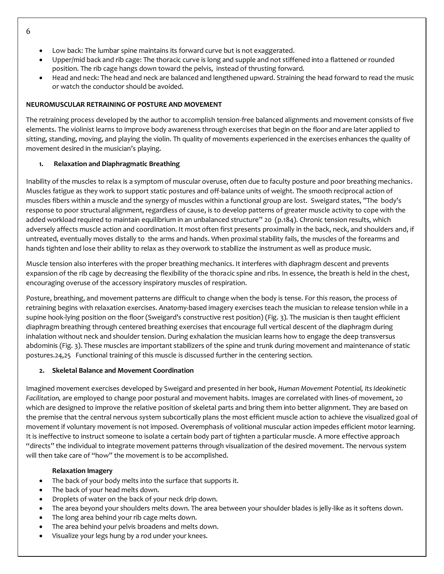- Low back: The lumbar spine maintains its forward curve but is not exaggerated.
- Upper/mid back and rib cage: The thoracic curve is long and supple and not stiffened into a flattened or rounded position. The rib cage hangs down toward the pelvis, instead of thrusting forward.
- Head and neck: The head and neck are balanced and lengthened upward. Straining the head forward to read the music or watch the conductor should be avoided.

#### **NEUROMUSCULAR RETRAINING OF POSTURE AND MOVEMENT**

The retraining process developed by the author to accomplish tension-free balanced alignments and movement consists of five elements. The violinist learns to improve body awareness through exercises that begin on the floor and are later applied to sitting, standing, moving, and playing the violin. Th quality of movements experienced in the exercises enhances the quality of movement desired in the musician's playing.

#### **1. Relaxation and Diaphragmatic Breathing**

Inability of the muscles to relax is a symptom of muscular overuse, often due to faculty posture and poor breathing mechanics. Muscles fatigue as they work to support static postures and off-balance units of weight. The smooth reciprocal action of muscles fibers within a muscle and the synergy of muscles within a functional group are lost. Sweigard states, "The body's response to poor structural alignment, regardless of cause, is to develop patterns of greater muscle activity to cope with the added workload required to maintain equilibrium in an unbalanced structure" 20 (p.184). Chronic tension results, which adversely affects muscle action and coordination. It most often first presents proximally in the back, neck, and shoulders and, if untreated, eventually moves distally to the arms and hands. When proximal stability fails, the muscles of the forearms and hands tighten and lose their ability to relax as they overwork to stabilize the instrument as well as produce music.

Muscle tension also interferes with the proper breathing mechanics. It interferes with diaphragm descent and prevents expansion of the rib cage by decreasing the flexibility of the thoracic spine and ribs. In essence, the breath is held in the chest, encouraging overuse of the accessory inspiratory muscles of respiration.

Posture, breathing, and movement patterns are difficult to change when the body is tense. For this reason, the process of retraining begins with relaxation exercises. Anatomy-based imagery exercises teach the musician to release tension while in a supine hook-lying position on the floor (Sweigard's constructive rest position) (Fig. 3). The musician is then taught efficient diaphragm breathing through centered breathing exercises that encourage full vertical descent of the diaphragm during inhalation without neck and shoulder tension. During exhalation the musician learns how to engage the deep transversus abdominis (Fig. 3). These muscles are important stabilizers of the spine and trunk during movement and maintenance of static postures.24,25 Functional training of this muscle is discussed further in the centering section.

#### **2. Skeletal Balance and Movement Coordination**

Imagined movement exercises developed by Sweigard and presented in her book, *Human Movement Potential, Its Ideokinetic Facilitation,* are employed to change poor postural and movement habits. Images are correlated with lines-of movement, 20 which are designed to improve the relative position of skeletal parts and bring them into better alignment. They are based on the premise that the central nervous system subcortically plans the most efficient muscle action to achieve the visualized goal of movement if voluntary movement is not imposed. Overemphasis of volitional muscular action impedes efficient motor learning. It is ineffective to instruct someone to isolate a certain body part of tighten a particular muscle. A more effective approach "directs" the individual to integrate movement patterns through visualization of the desired movement. The nervous system will then take care of "how" the movement is to be accomplished.

#### **Relaxation Imagery**

- The back of your body melts into the surface that supports it.
- The back of your head melts down.
- Droplets of water on the back of your neck drip down.
- The area beyond your shoulders melts down. The area between your shoulder blades is jelly-like as it softens down.
- The long area behind your rib cage melts down.
- The area behind your pelvis broadens and melts down.
- Visualize your legs hung by a rod under your knees.

6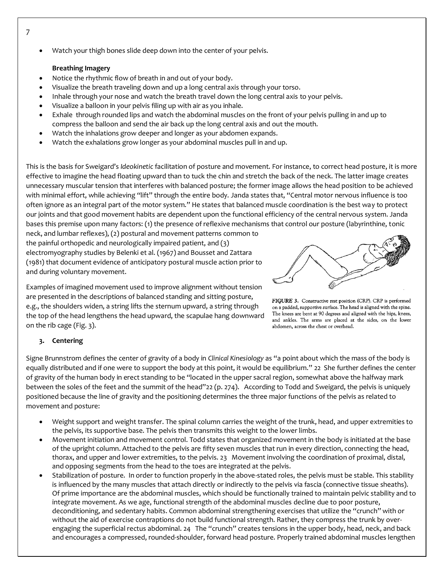Watch your thigh bones slide deep down into the center of your pelvis.

#### **Breathing Imagery**

- Notice the rhythmic flow of breath in and out of your body.
- Visualize the breath traveling down and up a long central axis through your torso.
- Inhale through your nose and watch the breath travel down the long central axis to your pelvis.
- Visualize a balloon in your pelvis filing up with air as you inhale.
- Exhale through rounded lips and watch the abdominal muscles on the front of your pelvis pulling in and up to compress the balloon and send the air back up the long central axis and out the mouth.
- Watch the inhalations grow deeper and longer as your abdomen expands.
- Watch the exhalations grow longer as your abdominal muscles pull in and up.

This is the basis for Sweigard's *Ideokinetic* facilitation of posture and movement. For instance, to correct head posture, it is more effective to imagine the head floating upward than to tuck the chin and stretch the back of the neck. The latter image creates unnecessary muscular tension that interferes with balanced posture; the former image allows the head position to be achieved with minimal effort, while achieving "lift" through the entire body. Janda states that, "Central motor nervous influence is too often ignore as an integral part of the motor system." He states that balanced muscle coordination is the best way to protect our joints and that good movement habits are dependent upon the functional efficiency of the central nervous system. Janda bases this premise upon many factors: (1) the presence of reflexive mechanisms that control our posture (labyrinthine, tonic

neck, and lumbar reflexes), (2) postural and movement patterns common to the painful orthopedic and neurologically impaired patient, and (3) electromyography studies by Belenki et al. (1967) and Bousset and Zattara (1981) that document evidence of anticipatory postural muscle action prior to and during voluntary movement.

Examples of imagined movement used to improve alignment without tension are presented in the descriptions of balanced standing and sitting posture, e.g., the shoulders widen, a string lifts the sternum upward, a string through the top of the head lengthens the head upward, the scapulae hang downward on the rib cage (Fig. 3).



FIGURE 3. Constructive rest position (CRP). CRP is performed on a padded, supportive surface. The head is aligned with the spine. The knees are bent at 90 degrees and aligned with the hips, knees, and ankles. The arms are placed at the sides, on the lower abdomen, across the chest or overhead.

#### **3. Centering**

Signe Brunnstrom defines the center of gravity of a body in *Clinical Kinesiology* as "a point about which the mass of the body is equally distributed and if one were to support the body at this point, it would be equilibrium." 22 She further defines the center of gravity of the human body in erect standing to be "located in the upper sacral region, somewhat above the halfway mark between the soles of the feet and the summit of the head"22 (p. 274). According to Todd and Sweigard, the pelvis is uniquely positioned because the line of gravity and the positioning determines the three major functions of the pelvis as related to movement and posture:

- Weight support and weight transfer. The spinal column carries the weight of the trunk, head, and upper extremities to the pelvis, its supportive base. The pelvis then transmits this weight to the lower limbs.
- Movement initiation and movement control. Todd states that organized movement in the body is initiated at the base of the upright column. Attached to the pelvis are fifty seven muscles that run in every direction, connecting the head, thorax, and upper and lower extremities, to the pelvis. 23 Movement involving the coordination of proximal, distal, and opposing segments from the head to the toes are integrated at the pelvis.
- Stabilization of posture. In order to function properly in the above-stated roles, the pelvis must be stable. This stability is influenced by the many muscles that attach directly or indirectly to the pelvis via fascia (connective tissue sheaths). Of prime importance are the abdominal muscles, which should be functionally trained to maintain pelvic stability and to integrate movement. As we age, functional strength of the abdominal muscles decline due to poor posture, deconditioning, and sedentary habits. Common abdominal strengthening exercises that utilize the "crunch" with or without the aid of exercise contraptions do not build functional strength. Rather, they compress the trunk by overengaging the superficial rectus abdominal. 24 The "crunch" creates tensions in the upper body, head, neck, and back and encourages a compressed, rounded-shoulder, forward head posture. Properly trained abdominal muscles lengthen

7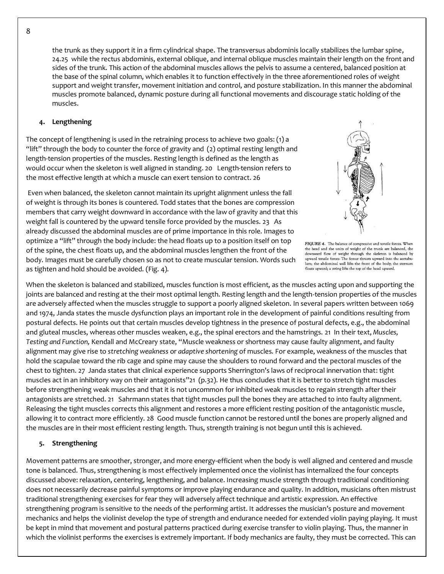the trunk as they support it in a firm cylindrical shape. The transversus abdominis locally stabilizes the lumbar spine, 24.25 while the rectus abdominis, external oblique, and internal oblique muscles maintain their length on the front and sides of the trunk. This action of the abdominal muscles allows the pelvis to assume a centered, balanced position at the base of the spinal column, which enables it to function effectively in the three aforementioned roles of weight support and weight transfer, movement initiation and control, and posture stabilization. In this manner the abdominal muscles promote balanced, dynamic posture during all functional movements and discourage static holding of the muscles.

#### **4. Lengthening**

The concept of lengthening is used in the retraining process to achieve two goals: (1) a "lift" through the body to counter the force of gravity and (2) optimal resting length and length-tension properties of the muscles. Resting length is defined as the length as would occur when the skeleton is well aligned in standing. 20 Length-tension refers to the most effective length at which a muscle can exert tension to contract. 26

Even when balanced, the skeleton cannot maintain its upright alignment unless the fall of weight is through its bones is countered. Todd states that the bones are compression members that carry weight downward in accordance with the law of gravity and that this weight fall is countered by the upward tensile force provided by the muscles. 23 As already discussed the abdominal muscles are of prime importance in this role. Images to optimize a "lift" through the body include: the head floats up to a position itself on top of the spine, the chest floats up, and the abdominal muscles lengthen the front of the body. Images must be carefully chosen so as not to create muscular tension. Words such as tighten and hold should be avoided. (Fig. 4).

FIGURE 4. The balance of compressive and tensile forces. When the head and the units of weight of the trunk are balanced, the downward flow of weight through the skeleton is balanced by upward tensile forces: The femur thrusts upward into the acetabulum; the abdominal wall lifts the front of the body; the sternum floats upward; a string lifts the top of the head upward.

When the skeleton is balanced and stabilized, muscles function is most efficient, as the muscles acting upon and supporting the joints are balanced and resting at the their most optimal length. Resting length and the length-tension properties of the muscles are adversely affected when the muscles struggle to support a poorly aligned skeleton. In several papers written between 1069 and 1974, Janda states the muscle dysfunction plays an important role in the development of painful conditions resulting from postural defects. He points out that certain muscles develop tightness in the presence of postural defects, e.g., the abdominal and gluteal muscles, whereas other muscles weaken, e.g., the spinal erectors and the hamstrings. 21 In their text, *Muscles, Testing and Function,* Kendall and McCreary state, "Muscle weakness or shortness may cause faulty alignment, and faulty alignment may give rise to *stretching weakness* or *adaptive shortening* of muscles*.* For example, weakness of the muscles that hold the scapulae toward the rib cage and spine may cause the shoulders to round forward and the pectoral muscles of the chest to tighten. 27 Janda states that clinical experience supports Sherrington's laws of reciprocal innervation that: tight muscles act in an inhibitory way on their antagonists"21 (p.32). He thus concludes that it is better to stretch tight muscles before strengthening weak muscles and that it is not uncommon for inhibited weak muscles to regain strength after their antagonists are stretched. 21 Sahrmann states that tight muscles pull the bones they are attached to into faulty alignment. Releasing the tight muscles corrects this alignment and restores a more efficient resting position of the antagonistic muscle, allowing it to contract more efficiently. 28 Good muscle function cannot be restored until the bones are properly aligned and the muscles are in their most efficient resting length. Thus, strength training is not begun until this is achieved.

#### **5. Strengthening**

Movement patterns are smoother, stronger, and more energy-efficient when the body is well aligned and centered and muscle tone is balanced. Thus, strengthening is most effectively implemented once the violinist has internalized the four concepts discussed above: relaxation, centering, lengthening, and balance. Increasing muscle strength through traditional conditioning does not necessarily decrease painful symptoms or improve playing endurance and quality. In addition, musicians often mistrust traditional strengthening exercises for fear they will adversely affect technique and artistic expression. An effective strengthening program is sensitive to the needs of the performing artist. It addresses the musician's posture and movement mechanics and helps the violinist develop the type of strength and endurance needed for extended violin paying playing. It must be kept in mind that movement and postural patterns practiced during exercise transfer to violin playing. Thus, the manner in which the violinist performs the exercises is extremely important. If body mechanics are faulty, they must be corrected. This can